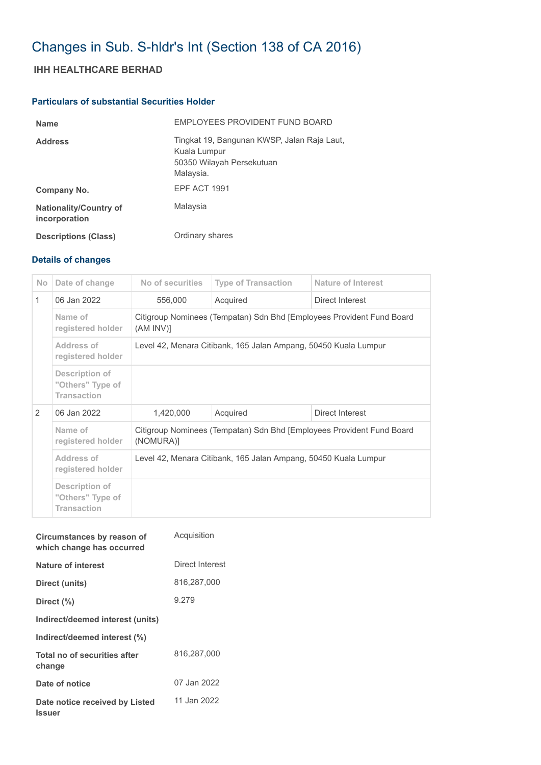# Changes in Sub. S-hldr's Int (Section 138 of CA 2016)

## **IHH HEALTHCARE BERHAD**

### **Particulars of substantial Securities Holder**

| <b>Name</b>                                    | EMPLOYEES PROVIDENT FUND BOARD                                                                        |
|------------------------------------------------|-------------------------------------------------------------------------------------------------------|
| <b>Address</b>                                 | Tingkat 19, Bangunan KWSP, Jalan Raja Laut,<br>Kuala Lumpur<br>50350 Wilayah Persekutuan<br>Malaysia. |
| Company No.                                    | EPF ACT 1991                                                                                          |
| <b>Nationality/Country of</b><br>incorporation | Malaysia                                                                                              |
| <b>Descriptions (Class)</b>                    | Ordinary shares                                                                                       |

## **Details of changes**

| N <sub>o</sub> | Date of change                                           | No of securities                                                                   | <b>Type of Transaction</b> | Nature of Interest |  |  |
|----------------|----------------------------------------------------------|------------------------------------------------------------------------------------|----------------------------|--------------------|--|--|
| $\mathbf{1}$   | 06 Jan 2022                                              | 556,000                                                                            | Acquired                   | Direct Interest    |  |  |
|                | Name of<br>registered holder                             | Citigroup Nominees (Tempatan) Sdn Bhd [Employees Provident Fund Board<br>(AM INV)  |                            |                    |  |  |
|                | Address of<br>registered holder                          | Level 42, Menara Citibank, 165 Jalan Ampang, 50450 Kuala Lumpur                    |                            |                    |  |  |
|                | Description of<br>"Others" Type of<br><b>Transaction</b> |                                                                                    |                            |                    |  |  |
| $\mathcal{P}$  | 06 Jan 2022                                              | 1,420,000                                                                          | Acquired                   | Direct Interest    |  |  |
|                | Name of<br>registered holder                             | Citigroup Nominees (Tempatan) Sdn Bhd [Employees Provident Fund Board<br>(NOMURA)] |                            |                    |  |  |
|                | Address of<br>registered holder                          | Level 42, Menara Citibank, 165 Jalan Ampang, 50450 Kuala Lumpur                    |                            |                    |  |  |
|                | Description of<br>"Others" Type of<br><b>Transaction</b> |                                                                                    |                            |                    |  |  |

| Circumstances by reason of<br>which change has occurred | Acquisition     |
|---------------------------------------------------------|-----------------|
| Nature of interest                                      | Direct Interest |
| Direct (units)                                          | 816,287,000     |
| Direct (%)                                              | 9.279           |
| Indirect/deemed interest (units)                        |                 |
| Indirect/deemed interest (%)                            |                 |
| Total no of securities after<br>change                  | 816,287,000     |
| Date of notice                                          | 07 Jan 2022     |
| Date notice received by Listed<br><b>Issuer</b>         | 11 Jan 2022     |